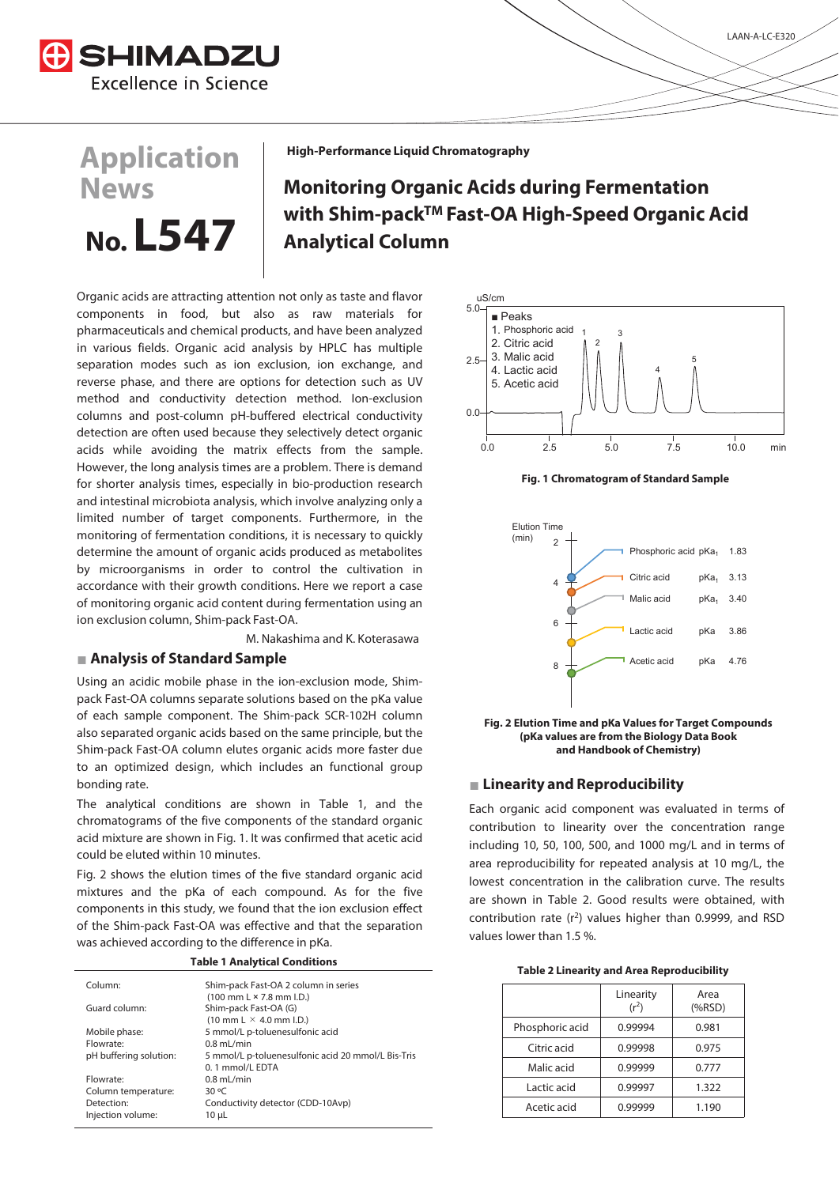

**Application** 

**No. L547**

**News**

**High-Performance Liquid Chromatography**

# **Monitoring Organic Acids during Fermentation with Shim-packTM Fast-OA High-Speed Organic Acid Analytical Column**

Organic acids are attracting attention not only as taste and flavor components in food, but also as raw materials for pharmaceuticals and chemical products, and have been analyzed in various fields. Organic acid analysis by HPLC has multiple separation modes such as ion exclusion, ion exchange, and reverse phase, and there are options for detection such as UV method and conductivity detection method. Ion-exclusion columns and post-column pH-buffered electrical conductivity detection are often used because they selectively detect organic acids while avoiding the matrix effects from the sample. However, the long analysis times are a problem. There is demand for shorter analysis times, especially in bio-production research and intestinal microbiota analysis, which involve analyzing only a limited number of target components. Furthermore, in the monitoring of fermentation conditions, it is necessary to quickly determine the amount of organic acids produced as metabolites by microorganisms in order to control the cultivation in accordance with their growth conditions. Here we report a case of monitoring organic acid content during fermentation using an ion exclusion column, Shim-pack Fast-OA.

M. Nakashima and K. Koterasawa

### **˛ Analysis of Standard Sample**

Using an acidic mobile phase in the ion-exclusion mode, Shimpack Fast-OA columns separate solutions based on the pKa value of each sample component. The Shim-pack SCR-102H column also separated organic acids based on the same principle, but the Shim-pack Fast-OA column elutes organic acids more faster due to an optimized design, which includes an functional group bonding rate.

The analytical conditions are shown in Table 1, and the chromatograms of the five components of the standard organic acid mixture are shown in Fig. 1. It was confirmed that acetic acid could be eluted within 10 minutes.

Fig. 2 shows the elution times of the five standard organic acid mixtures and the pKa of each compound. As for the five components in this study, we found that the ion exclusion effect of the Shim-pack Fast-OA was effective and that the separation was achieved according to the difference in pKa.

**Table 1 Analytical Conditions**

| Column:                | Shim-pack Fast-OA 2 column in series                                  |
|------------------------|-----------------------------------------------------------------------|
| Guard column:          | $(100 \text{ mm L} \times 7.8 \text{ mm L}).$                         |
|                        | Shim-pack Fast-OA (G)<br>$(10 \text{ mm L} \times 4.0 \text{ mm L}).$ |
| Mobile phase:          | 5 mmol/L p-toluenesulfonic acid                                       |
| Flowrate:              | $0.8$ mL/min                                                          |
| pH buffering solution: | 5 mmol/L p-toluenesulfonic acid 20 mmol/L Bis-Tris                    |
|                        | 0.1 mmol/L EDTA                                                       |
| Flowrate:              | $0.8$ mL/min                                                          |
| Column temperature:    | $30^{\circ}$ C                                                        |
| Detection:             | Conductivity detector (CDD-10Avp)                                     |
| Injection volume:      | 10 µL                                                                 |
|                        |                                                                       |









### ˛ **Linearity and Reproducibility**

Each organic acid component was evaluated in terms of contribution to linearity over the concentration range including 10, 50, 100, 500, and 1000 mg/L and in terms of area reproducibility for repeated analysis at 10 mg/L, the lowest concentration in the calibration curve. The results are shown in Table 2. Good results were obtained, with contribution rate  $(r^2)$  values higher than 0.9999, and RSD values lower than 1.5 %.

|                 | Linearity<br>$(r^2)$ | Area<br>(%RSD) |
|-----------------|----------------------|----------------|
| Phosphoric acid | 0.99994              | 0.981          |
| Citric acid     | 0.99998              | 0.975          |
| Malic acid      | 0.99999              | 0.777          |
| Lactic acid     | 0.99997              | 1.322          |
| Acetic acid     | 0.99999              | 1.190          |
|                 |                      |                |